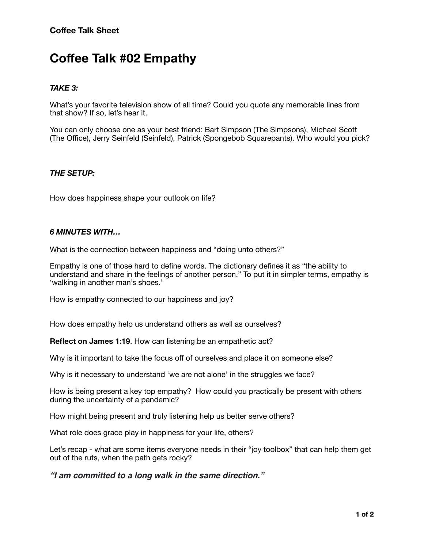# **Coffee Talk #02 Empathy**

## *TAKE 3:*

What's your favorite television show of all time? Could you quote any memorable lines from that show? If so, let's hear it.

You can only choose one as your best friend: Bart Simpson (The Simpsons), Michael Scott (The Office), Jerry Seinfeld (Seinfeld), Patrick (Spongebob Squarepants). Who would you pick?

### *THE SETUP:*

How does happiness shape your outlook on life?

#### *6 MINUTES WITH…*

What is the connection between happiness and "doing unto others?"

Empathy is one of those hard to define words. The dictionary defines it as "the ability to understand and share in the feelings of another person." To put it in simpler terms, empathy is 'walking in another man's shoes.'

How is empathy connected to our happiness and joy?

How does empathy help us understand others as well as ourselves?

**Reflect on James 1:19.** How can listening be an empathetic act?

Why is it important to take the focus off of ourselves and place it on someone else?

Why is it necessary to understand 'we are not alone' in the struggles we face?

How is being present a key top empathy? How could you practically be present with others during the uncertainty of a pandemic?

How might being present and truly listening help us better serve others?

What role does grace play in happiness for your life, others?

Let's recap - what are some items everyone needs in their "joy toolbox" that can help them get out of the ruts, when the path gets rocky?

*"I am committed to a long walk in the same direction."*